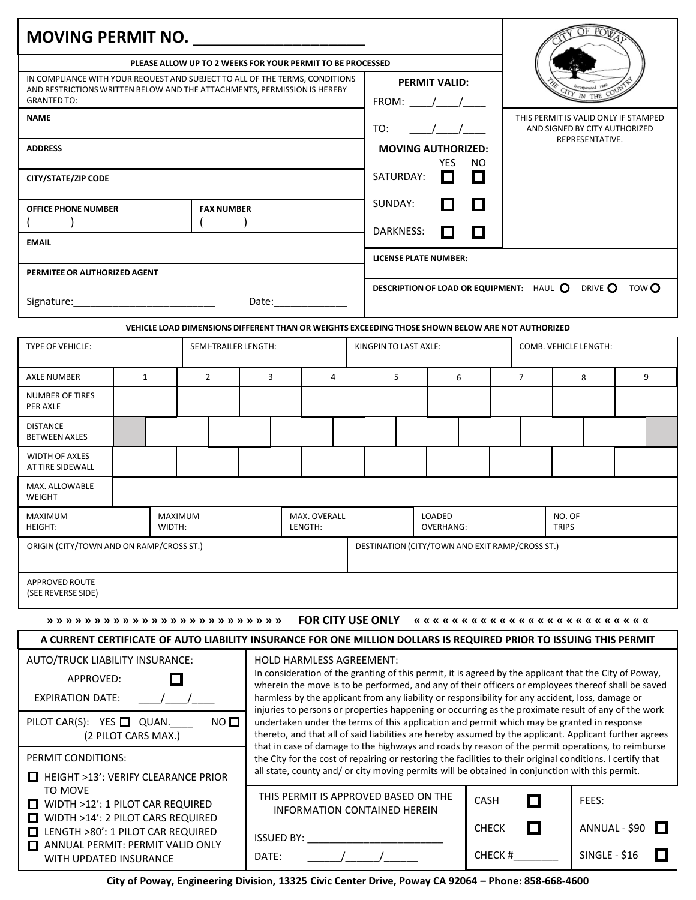| MOVING PERMIT NO.<br>PLEASE ALLOW UP TO 2 WEEKS FOR YOUR PERMIT TO BE PROCESSED<br>IN COMPLIANCE WITH YOUR REQUEST AND SUBJECT TO ALL OF THE TERMS, CONDITIONS<br><b>PERMIT VALID:</b><br>AND RESTRICTIONS WRITTEN BELOW AND THE ATTACHMENTS, PERMISSION IS HEREBY<br><b>GRANTED TO:</b><br>FROM:<br><b>NAME</b><br>THIS PERMIT IS VALID ONLY IF STAMPED<br>TO:<br>AND SIGNED BY CITY AUTHORIZED<br>REPRESENTATIVE.<br><b>ADDRESS</b><br><b>MOVING AUTHORIZED:</b><br>YES NO<br>SATURDAY:<br>0<br>O<br><b>CITY/STATE/ZIP CODE</b><br>SUNDAY:<br>$\Box$<br>. .<br><b>FAX NUMBER</b><br><b>OFFICE PHONE NUMBER</b><br><b>DARKNESS:</b><br>' '<br><b>EMAIL</b><br><b>LICENSE PLATE NUMBER:</b><br>PERMITEE OR AUTHORIZED AGENT<br>DESCRIPTION OF LOAD OR EQUIPMENT: HAUL O DRIVE O TOWO<br>Date: the contract of the contract of the contract of the contract of the contract of the contract of the contract of the contract of the contract of the contract of the contract of the contract of the contract of the cont<br>VEHICLE LOAD DIMENSIONS DIFFERENT THAN OR WEIGHTS EXCEEDING THOSE SHOWN BELOW ARE NOT AUTHORIZED<br><b>TYPE OF VEHICLE:</b><br>COMB. VEHICLE LENGTH:<br>SEMI-TRAILER LENGTH:<br>KINGPIN TO LAST AXLE:<br>$\overline{2}$<br>$\overline{3}$<br>5<br>$\overline{7}$<br>9<br><b>AXLE NUMBER</b><br>1<br>$\overline{4}$<br>6<br>8<br>NUMBER OF TIRES<br>PER AXLE<br><b>DISTANCE</b><br><b>BETWEEN AXLES</b><br><b>WIDTH OF AXLES</b><br>AT TIRE SIDEWALL<br>MAX. ALLOWABLE<br>WEIGHT<br>MAXIMUM<br>MAXIMUM<br>MAX. OVERALL<br>LOADED<br>NO. OF<br><b>TRIPS</b><br>HEIGHT:<br>WIDTH:<br>LENGTH:<br><b>OVERHANG:</b><br>ORIGIN (CITY/TOWN AND ON RAMP/CROSS ST.)<br>DESTINATION (CITY/TOWN AND EXIT RAMP/CROSS ST.)<br>APPROVED ROUTE<br>(SEE REVERSE SIDE)<br><b>FOR CITY USE ONLY</b><br>A CURRENT CERTIFICATE OF AUTO LIABILITY INSURANCE FOR ONE MILLION DOLLARS IS REQUIRED PRIOR TO ISSUING THIS PERMIT<br>AUTO/TRUCK LIABILITY INSURANCE:<br>HOLD HARMLESS AGREEMENT:<br>In consideration of the granting of this permit, it is agreed by the applicant that the City of Poway,<br>$\Box$<br>APPROVED:<br>wherein the move is to be performed, and any of their officers or employees thereof shall be saved<br>harmless by the applicant from any liability or responsibility for any accident, loss, damage or<br><b>EXPIRATION DATE:</b><br>injuries to persons or properties happening or occurring as the proximate result of any of the work<br>PILOT CAR(S): YES QUAN.<br>$NO$ $\square$<br>undertaken under the terms of this application and permit which may be granted in response<br>thereto, and that all of said liabilities are hereby assumed by the applicant. Applicant further agrees<br>(2 PILOT CARS MAX.)<br>that in case of damage to the highways and roads by reason of the permit operations, to reimburse<br>PERMIT CONDITIONS:<br>the City for the cost of repairing or restoring the facilities to their original conditions. I certify that<br>all state, county and/ or city moving permits will be obtained in conjunction with this permit.<br>$\Box$ HEIGHT >13': VERIFY CLEARANCE PRIOR<br>TO MOVE<br>THIS PERMIT IS APPROVED BASED ON THE<br>$\Box$<br>CASH<br>FEES:<br>$\Box$ WIDTH >12': 1 PILOT CAR REQUIRED<br><b>INFORMATION CONTAINED HEREIN</b><br>$\Box$ WIDTH >14': 2 PILOT CARS REQUIRED<br>$\Box$<br>ANNUAL - \$90 $\Box$<br><b>CHECK</b><br>LENGTH >80': 1 PILOT CAR REQUIRED<br><b>ISSUED BY:</b><br>ANNUAL PERMIT: PERMIT VALID ONLY<br>CHECK #<br><b>SINGLE - \$16</b><br>$\Box$<br>DATE:<br>WITH UPDATED INSURANCE<br>City of Poway, Engineering Division, 13325 Civic Center Drive, Poway CA 92064 - Phone: 858-668-4600 |  |  |  |  |  |  |  |  |  |  |  |  |  |  |  |
|---------------------------------------------------------------------------------------------------------------------------------------------------------------------------------------------------------------------------------------------------------------------------------------------------------------------------------------------------------------------------------------------------------------------------------------------------------------------------------------------------------------------------------------------------------------------------------------------------------------------------------------------------------------------------------------------------------------------------------------------------------------------------------------------------------------------------------------------------------------------------------------------------------------------------------------------------------------------------------------------------------------------------------------------------------------------------------------------------------------------------------------------------------------------------------------------------------------------------------------------------------------------------------------------------------------------------------------------------------------------------------------------------------------------------------------------------------------------------------------------------------------------------------------------------------------------------------------------------------------------------------------------------------------------------------------------------------------------------------------------------------------------------------------------------------------------------------------------------------------------------------------------------------------------------------------------------------------------------------------------------------------------------------------------------------------------------------------------------------------------------------------------------------------------------------------------------------------------------------------------------------------------------------------------------------------------------------------------------------------------------------------------------------------------------------------------------------------------------------------------------------------------------------------------------------------------------------------------------------------------------------------------------------------------------------------------------------------------------------------------------------------------------------------------------------------------------------------------------------------------------------------------------------------------------------------------------------------------------------------------------------------------------------------------------------------------------------------------------------------------------------------------------------------------------------------------------------------------------------------------------------------------------------------------------------------------------------------------------------------------------------------------------------------------------------------------------------------------------------------------------------------------------------------------------------------------------------------------------------------------------------------------------------------------------------------------------------|--|--|--|--|--|--|--|--|--|--|--|--|--|--|--|
|                                                                                                                                                                                                                                                                                                                                                                                                                                                                                                                                                                                                                                                                                                                                                                                                                                                                                                                                                                                                                                                                                                                                                                                                                                                                                                                                                                                                                                                                                                                                                                                                                                                                                                                                                                                                                                                                                                                                                                                                                                                                                                                                                                                                                                                                                                                                                                                                                                                                                                                                                                                                                                                                                                                                                                                                                                                                                                                                                                                                                                                                                                                                                                                                                                                                                                                                                                                                                                                                                                                                                                                                                                                                                                         |  |  |  |  |  |  |  |  |  |  |  |  |  |  |  |
|                                                                                                                                                                                                                                                                                                                                                                                                                                                                                                                                                                                                                                                                                                                                                                                                                                                                                                                                                                                                                                                                                                                                                                                                                                                                                                                                                                                                                                                                                                                                                                                                                                                                                                                                                                                                                                                                                                                                                                                                                                                                                                                                                                                                                                                                                                                                                                                                                                                                                                                                                                                                                                                                                                                                                                                                                                                                                                                                                                                                                                                                                                                                                                                                                                                                                                                                                                                                                                                                                                                                                                                                                                                                                                         |  |  |  |  |  |  |  |  |  |  |  |  |  |  |  |
|                                                                                                                                                                                                                                                                                                                                                                                                                                                                                                                                                                                                                                                                                                                                                                                                                                                                                                                                                                                                                                                                                                                                                                                                                                                                                                                                                                                                                                                                                                                                                                                                                                                                                                                                                                                                                                                                                                                                                                                                                                                                                                                                                                                                                                                                                                                                                                                                                                                                                                                                                                                                                                                                                                                                                                                                                                                                                                                                                                                                                                                                                                                                                                                                                                                                                                                                                                                                                                                                                                                                                                                                                                                                                                         |  |  |  |  |  |  |  |  |  |  |  |  |  |  |  |
|                                                                                                                                                                                                                                                                                                                                                                                                                                                                                                                                                                                                                                                                                                                                                                                                                                                                                                                                                                                                                                                                                                                                                                                                                                                                                                                                                                                                                                                                                                                                                                                                                                                                                                                                                                                                                                                                                                                                                                                                                                                                                                                                                                                                                                                                                                                                                                                                                                                                                                                                                                                                                                                                                                                                                                                                                                                                                                                                                                                                                                                                                                                                                                                                                                                                                                                                                                                                                                                                                                                                                                                                                                                                                                         |  |  |  |  |  |  |  |  |  |  |  |  |  |  |  |
|                                                                                                                                                                                                                                                                                                                                                                                                                                                                                                                                                                                                                                                                                                                                                                                                                                                                                                                                                                                                                                                                                                                                                                                                                                                                                                                                                                                                                                                                                                                                                                                                                                                                                                                                                                                                                                                                                                                                                                                                                                                                                                                                                                                                                                                                                                                                                                                                                                                                                                                                                                                                                                                                                                                                                                                                                                                                                                                                                                                                                                                                                                                                                                                                                                                                                                                                                                                                                                                                                                                                                                                                                                                                                                         |  |  |  |  |  |  |  |  |  |  |  |  |  |  |  |
|                                                                                                                                                                                                                                                                                                                                                                                                                                                                                                                                                                                                                                                                                                                                                                                                                                                                                                                                                                                                                                                                                                                                                                                                                                                                                                                                                                                                                                                                                                                                                                                                                                                                                                                                                                                                                                                                                                                                                                                                                                                                                                                                                                                                                                                                                                                                                                                                                                                                                                                                                                                                                                                                                                                                                                                                                                                                                                                                                                                                                                                                                                                                                                                                                                                                                                                                                                                                                                                                                                                                                                                                                                                                                                         |  |  |  |  |  |  |  |  |  |  |  |  |  |  |  |
|                                                                                                                                                                                                                                                                                                                                                                                                                                                                                                                                                                                                                                                                                                                                                                                                                                                                                                                                                                                                                                                                                                                                                                                                                                                                                                                                                                                                                                                                                                                                                                                                                                                                                                                                                                                                                                                                                                                                                                                                                                                                                                                                                                                                                                                                                                                                                                                                                                                                                                                                                                                                                                                                                                                                                                                                                                                                                                                                                                                                                                                                                                                                                                                                                                                                                                                                                                                                                                                                                                                                                                                                                                                                                                         |  |  |  |  |  |  |  |  |  |  |  |  |  |  |  |
|                                                                                                                                                                                                                                                                                                                                                                                                                                                                                                                                                                                                                                                                                                                                                                                                                                                                                                                                                                                                                                                                                                                                                                                                                                                                                                                                                                                                                                                                                                                                                                                                                                                                                                                                                                                                                                                                                                                                                                                                                                                                                                                                                                                                                                                                                                                                                                                                                                                                                                                                                                                                                                                                                                                                                                                                                                                                                                                                                                                                                                                                                                                                                                                                                                                                                                                                                                                                                                                                                                                                                                                                                                                                                                         |  |  |  |  |  |  |  |  |  |  |  |  |  |  |  |
|                                                                                                                                                                                                                                                                                                                                                                                                                                                                                                                                                                                                                                                                                                                                                                                                                                                                                                                                                                                                                                                                                                                                                                                                                                                                                                                                                                                                                                                                                                                                                                                                                                                                                                                                                                                                                                                                                                                                                                                                                                                                                                                                                                                                                                                                                                                                                                                                                                                                                                                                                                                                                                                                                                                                                                                                                                                                                                                                                                                                                                                                                                                                                                                                                                                                                                                                                                                                                                                                                                                                                                                                                                                                                                         |  |  |  |  |  |  |  |  |  |  |  |  |  |  |  |
|                                                                                                                                                                                                                                                                                                                                                                                                                                                                                                                                                                                                                                                                                                                                                                                                                                                                                                                                                                                                                                                                                                                                                                                                                                                                                                                                                                                                                                                                                                                                                                                                                                                                                                                                                                                                                                                                                                                                                                                                                                                                                                                                                                                                                                                                                                                                                                                                                                                                                                                                                                                                                                                                                                                                                                                                                                                                                                                                                                                                                                                                                                                                                                                                                                                                                                                                                                                                                                                                                                                                                                                                                                                                                                         |  |  |  |  |  |  |  |  |  |  |  |  |  |  |  |
|                                                                                                                                                                                                                                                                                                                                                                                                                                                                                                                                                                                                                                                                                                                                                                                                                                                                                                                                                                                                                                                                                                                                                                                                                                                                                                                                                                                                                                                                                                                                                                                                                                                                                                                                                                                                                                                                                                                                                                                                                                                                                                                                                                                                                                                                                                                                                                                                                                                                                                                                                                                                                                                                                                                                                                                                                                                                                                                                                                                                                                                                                                                                                                                                                                                                                                                                                                                                                                                                                                                                                                                                                                                                                                         |  |  |  |  |  |  |  |  |  |  |  |  |  |  |  |
|                                                                                                                                                                                                                                                                                                                                                                                                                                                                                                                                                                                                                                                                                                                                                                                                                                                                                                                                                                                                                                                                                                                                                                                                                                                                                                                                                                                                                                                                                                                                                                                                                                                                                                                                                                                                                                                                                                                                                                                                                                                                                                                                                                                                                                                                                                                                                                                                                                                                                                                                                                                                                                                                                                                                                                                                                                                                                                                                                                                                                                                                                                                                                                                                                                                                                                                                                                                                                                                                                                                                                                                                                                                                                                         |  |  |  |  |  |  |  |  |  |  |  |  |  |  |  |
|                                                                                                                                                                                                                                                                                                                                                                                                                                                                                                                                                                                                                                                                                                                                                                                                                                                                                                                                                                                                                                                                                                                                                                                                                                                                                                                                                                                                                                                                                                                                                                                                                                                                                                                                                                                                                                                                                                                                                                                                                                                                                                                                                                                                                                                                                                                                                                                                                                                                                                                                                                                                                                                                                                                                                                                                                                                                                                                                                                                                                                                                                                                                                                                                                                                                                                                                                                                                                                                                                                                                                                                                                                                                                                         |  |  |  |  |  |  |  |  |  |  |  |  |  |  |  |
|                                                                                                                                                                                                                                                                                                                                                                                                                                                                                                                                                                                                                                                                                                                                                                                                                                                                                                                                                                                                                                                                                                                                                                                                                                                                                                                                                                                                                                                                                                                                                                                                                                                                                                                                                                                                                                                                                                                                                                                                                                                                                                                                                                                                                                                                                                                                                                                                                                                                                                                                                                                                                                                                                                                                                                                                                                                                                                                                                                                                                                                                                                                                                                                                                                                                                                                                                                                                                                                                                                                                                                                                                                                                                                         |  |  |  |  |  |  |  |  |  |  |  |  |  |  |  |
|                                                                                                                                                                                                                                                                                                                                                                                                                                                                                                                                                                                                                                                                                                                                                                                                                                                                                                                                                                                                                                                                                                                                                                                                                                                                                                                                                                                                                                                                                                                                                                                                                                                                                                                                                                                                                                                                                                                                                                                                                                                                                                                                                                                                                                                                                                                                                                                                                                                                                                                                                                                                                                                                                                                                                                                                                                                                                                                                                                                                                                                                                                                                                                                                                                                                                                                                                                                                                                                                                                                                                                                                                                                                                                         |  |  |  |  |  |  |  |  |  |  |  |  |  |  |  |
|                                                                                                                                                                                                                                                                                                                                                                                                                                                                                                                                                                                                                                                                                                                                                                                                                                                                                                                                                                                                                                                                                                                                                                                                                                                                                                                                                                                                                                                                                                                                                                                                                                                                                                                                                                                                                                                                                                                                                                                                                                                                                                                                                                                                                                                                                                                                                                                                                                                                                                                                                                                                                                                                                                                                                                                                                                                                                                                                                                                                                                                                                                                                                                                                                                                                                                                                                                                                                                                                                                                                                                                                                                                                                                         |  |  |  |  |  |  |  |  |  |  |  |  |  |  |  |
|                                                                                                                                                                                                                                                                                                                                                                                                                                                                                                                                                                                                                                                                                                                                                                                                                                                                                                                                                                                                                                                                                                                                                                                                                                                                                                                                                                                                                                                                                                                                                                                                                                                                                                                                                                                                                                                                                                                                                                                                                                                                                                                                                                                                                                                                                                                                                                                                                                                                                                                                                                                                                                                                                                                                                                                                                                                                                                                                                                                                                                                                                                                                                                                                                                                                                                                                                                                                                                                                                                                                                                                                                                                                                                         |  |  |  |  |  |  |  |  |  |  |  |  |  |  |  |
|                                                                                                                                                                                                                                                                                                                                                                                                                                                                                                                                                                                                                                                                                                                                                                                                                                                                                                                                                                                                                                                                                                                                                                                                                                                                                                                                                                                                                                                                                                                                                                                                                                                                                                                                                                                                                                                                                                                                                                                                                                                                                                                                                                                                                                                                                                                                                                                                                                                                                                                                                                                                                                                                                                                                                                                                                                                                                                                                                                                                                                                                                                                                                                                                                                                                                                                                                                                                                                                                                                                                                                                                                                                                                                         |  |  |  |  |  |  |  |  |  |  |  |  |  |  |  |
|                                                                                                                                                                                                                                                                                                                                                                                                                                                                                                                                                                                                                                                                                                                                                                                                                                                                                                                                                                                                                                                                                                                                                                                                                                                                                                                                                                                                                                                                                                                                                                                                                                                                                                                                                                                                                                                                                                                                                                                                                                                                                                                                                                                                                                                                                                                                                                                                                                                                                                                                                                                                                                                                                                                                                                                                                                                                                                                                                                                                                                                                                                                                                                                                                                                                                                                                                                                                                                                                                                                                                                                                                                                                                                         |  |  |  |  |  |  |  |  |  |  |  |  |  |  |  |
|                                                                                                                                                                                                                                                                                                                                                                                                                                                                                                                                                                                                                                                                                                                                                                                                                                                                                                                                                                                                                                                                                                                                                                                                                                                                                                                                                                                                                                                                                                                                                                                                                                                                                                                                                                                                                                                                                                                                                                                                                                                                                                                                                                                                                                                                                                                                                                                                                                                                                                                                                                                                                                                                                                                                                                                                                                                                                                                                                                                                                                                                                                                                                                                                                                                                                                                                                                                                                                                                                                                                                                                                                                                                                                         |  |  |  |  |  |  |  |  |  |  |  |  |  |  |  |
|                                                                                                                                                                                                                                                                                                                                                                                                                                                                                                                                                                                                                                                                                                                                                                                                                                                                                                                                                                                                                                                                                                                                                                                                                                                                                                                                                                                                                                                                                                                                                                                                                                                                                                                                                                                                                                                                                                                                                                                                                                                                                                                                                                                                                                                                                                                                                                                                                                                                                                                                                                                                                                                                                                                                                                                                                                                                                                                                                                                                                                                                                                                                                                                                                                                                                                                                                                                                                                                                                                                                                                                                                                                                                                         |  |  |  |  |  |  |  |  |  |  |  |  |  |  |  |
|                                                                                                                                                                                                                                                                                                                                                                                                                                                                                                                                                                                                                                                                                                                                                                                                                                                                                                                                                                                                                                                                                                                                                                                                                                                                                                                                                                                                                                                                                                                                                                                                                                                                                                                                                                                                                                                                                                                                                                                                                                                                                                                                                                                                                                                                                                                                                                                                                                                                                                                                                                                                                                                                                                                                                                                                                                                                                                                                                                                                                                                                                                                                                                                                                                                                                                                                                                                                                                                                                                                                                                                                                                                                                                         |  |  |  |  |  |  |  |  |  |  |  |  |  |  |  |
|                                                                                                                                                                                                                                                                                                                                                                                                                                                                                                                                                                                                                                                                                                                                                                                                                                                                                                                                                                                                                                                                                                                                                                                                                                                                                                                                                                                                                                                                                                                                                                                                                                                                                                                                                                                                                                                                                                                                                                                                                                                                                                                                                                                                                                                                                                                                                                                                                                                                                                                                                                                                                                                                                                                                                                                                                                                                                                                                                                                                                                                                                                                                                                                                                                                                                                                                                                                                                                                                                                                                                                                                                                                                                                         |  |  |  |  |  |  |  |  |  |  |  |  |  |  |  |
|                                                                                                                                                                                                                                                                                                                                                                                                                                                                                                                                                                                                                                                                                                                                                                                                                                                                                                                                                                                                                                                                                                                                                                                                                                                                                                                                                                                                                                                                                                                                                                                                                                                                                                                                                                                                                                                                                                                                                                                                                                                                                                                                                                                                                                                                                                                                                                                                                                                                                                                                                                                                                                                                                                                                                                                                                                                                                                                                                                                                                                                                                                                                                                                                                                                                                                                                                                                                                                                                                                                                                                                                                                                                                                         |  |  |  |  |  |  |  |  |  |  |  |  |  |  |  |
|                                                                                                                                                                                                                                                                                                                                                                                                                                                                                                                                                                                                                                                                                                                                                                                                                                                                                                                                                                                                                                                                                                                                                                                                                                                                                                                                                                                                                                                                                                                                                                                                                                                                                                                                                                                                                                                                                                                                                                                                                                                                                                                                                                                                                                                                                                                                                                                                                                                                                                                                                                                                                                                                                                                                                                                                                                                                                                                                                                                                                                                                                                                                                                                                                                                                                                                                                                                                                                                                                                                                                                                                                                                                                                         |  |  |  |  |  |  |  |  |  |  |  |  |  |  |  |
|                                                                                                                                                                                                                                                                                                                                                                                                                                                                                                                                                                                                                                                                                                                                                                                                                                                                                                                                                                                                                                                                                                                                                                                                                                                                                                                                                                                                                                                                                                                                                                                                                                                                                                                                                                                                                                                                                                                                                                                                                                                                                                                                                                                                                                                                                                                                                                                                                                                                                                                                                                                                                                                                                                                                                                                                                                                                                                                                                                                                                                                                                                                                                                                                                                                                                                                                                                                                                                                                                                                                                                                                                                                                                                         |  |  |  |  |  |  |  |  |  |  |  |  |  |  |  |
|                                                                                                                                                                                                                                                                                                                                                                                                                                                                                                                                                                                                                                                                                                                                                                                                                                                                                                                                                                                                                                                                                                                                                                                                                                                                                                                                                                                                                                                                                                                                                                                                                                                                                                                                                                                                                                                                                                                                                                                                                                                                                                                                                                                                                                                                                                                                                                                                                                                                                                                                                                                                                                                                                                                                                                                                                                                                                                                                                                                                                                                                                                                                                                                                                                                                                                                                                                                                                                                                                                                                                                                                                                                                                                         |  |  |  |  |  |  |  |  |  |  |  |  |  |  |  |
|                                                                                                                                                                                                                                                                                                                                                                                                                                                                                                                                                                                                                                                                                                                                                                                                                                                                                                                                                                                                                                                                                                                                                                                                                                                                                                                                                                                                                                                                                                                                                                                                                                                                                                                                                                                                                                                                                                                                                                                                                                                                                                                                                                                                                                                                                                                                                                                                                                                                                                                                                                                                                                                                                                                                                                                                                                                                                                                                                                                                                                                                                                                                                                                                                                                                                                                                                                                                                                                                                                                                                                                                                                                                                                         |  |  |  |  |  |  |  |  |  |  |  |  |  |  |  |
|                                                                                                                                                                                                                                                                                                                                                                                                                                                                                                                                                                                                                                                                                                                                                                                                                                                                                                                                                                                                                                                                                                                                                                                                                                                                                                                                                                                                                                                                                                                                                                                                                                                                                                                                                                                                                                                                                                                                                                                                                                                                                                                                                                                                                                                                                                                                                                                                                                                                                                                                                                                                                                                                                                                                                                                                                                                                                                                                                                                                                                                                                                                                                                                                                                                                                                                                                                                                                                                                                                                                                                                                                                                                                                         |  |  |  |  |  |  |  |  |  |  |  |  |  |  |  |
|                                                                                                                                                                                                                                                                                                                                                                                                                                                                                                                                                                                                                                                                                                                                                                                                                                                                                                                                                                                                                                                                                                                                                                                                                                                                                                                                                                                                                                                                                                                                                                                                                                                                                                                                                                                                                                                                                                                                                                                                                                                                                                                                                                                                                                                                                                                                                                                                                                                                                                                                                                                                                                                                                                                                                                                                                                                                                                                                                                                                                                                                                                                                                                                                                                                                                                                                                                                                                                                                                                                                                                                                                                                                                                         |  |  |  |  |  |  |  |  |  |  |  |  |  |  |  |
|                                                                                                                                                                                                                                                                                                                                                                                                                                                                                                                                                                                                                                                                                                                                                                                                                                                                                                                                                                                                                                                                                                                                                                                                                                                                                                                                                                                                                                                                                                                                                                                                                                                                                                                                                                                                                                                                                                                                                                                                                                                                                                                                                                                                                                                                                                                                                                                                                                                                                                                                                                                                                                                                                                                                                                                                                                                                                                                                                                                                                                                                                                                                                                                                                                                                                                                                                                                                                                                                                                                                                                                                                                                                                                         |  |  |  |  |  |  |  |  |  |  |  |  |  |  |  |
|                                                                                                                                                                                                                                                                                                                                                                                                                                                                                                                                                                                                                                                                                                                                                                                                                                                                                                                                                                                                                                                                                                                                                                                                                                                                                                                                                                                                                                                                                                                                                                                                                                                                                                                                                                                                                                                                                                                                                                                                                                                                                                                                                                                                                                                                                                                                                                                                                                                                                                                                                                                                                                                                                                                                                                                                                                                                                                                                                                                                                                                                                                                                                                                                                                                                                                                                                                                                                                                                                                                                                                                                                                                                                                         |  |  |  |  |  |  |  |  |  |  |  |  |  |  |  |
|                                                                                                                                                                                                                                                                                                                                                                                                                                                                                                                                                                                                                                                                                                                                                                                                                                                                                                                                                                                                                                                                                                                                                                                                                                                                                                                                                                                                                                                                                                                                                                                                                                                                                                                                                                                                                                                                                                                                                                                                                                                                                                                                                                                                                                                                                                                                                                                                                                                                                                                                                                                                                                                                                                                                                                                                                                                                                                                                                                                                                                                                                                                                                                                                                                                                                                                                                                                                                                                                                                                                                                                                                                                                                                         |  |  |  |  |  |  |  |  |  |  |  |  |  |  |  |